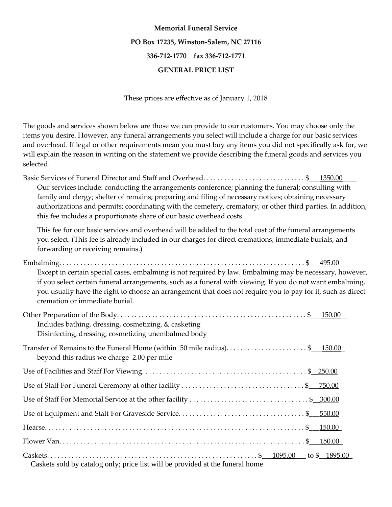## **Memorial Funeral Service PO Box 17235, Winston-Salem, NC 27116 336-712-1770 fax 336-712-1771 GENERAL PRICE LIST**

These prices are effective as of January 1, 2018

The goods and services shown below are those we can provide to our customers. You may choose only the items you desire. However, any funeral arrangements you select will include a charge for our basic services and overhead. If legal or other requirements mean you must buy any items you did not specifically ask for, we will explain the reason in writing on the statement we provide describing the funeral goods and services you selected.

Basic Services of Funeral Director and Staff and Overhead. . . . . . . . . . . . . . . . . . . . . . . . . . . . . \$\_\_\_1350.00\_\_\_\_ Our services include: conducting the arrangements conference; planning the funeral; consulting with family and clergy; shelter of remains; preparing and filing of necessary notices; obtaining necessary authorizations and permits; coordinating with the cemetery, crematory, or other third parties. In addition, this fee includes a proportionate share of our basic overhead costs.

This fee for our basic services and overhead will be added to the total cost of the funeral arrangements you select. (This fee is already included in our charges for direct cremations, immediate burials, and forwarding or receiving remains.)

| Except in certain special cases, embalming is not required by law. Embalming may be necessary, however,<br>if you select certain funeral arrangements, such as a funeral with viewing. If you do not want embalming,<br>you usually have the right to choose an arrangement that does not require you to pay for it, such as direct<br>cremation or immediate burial. |
|-----------------------------------------------------------------------------------------------------------------------------------------------------------------------------------------------------------------------------------------------------------------------------------------------------------------------------------------------------------------------|
| Includes bathing, dressing, cosmetizing, & casketing<br>Disinfecting, dressing, cosmetizing unembalmed body                                                                                                                                                                                                                                                           |
| Transfer of Remains to the Funeral Home (within 50 mile radius)\$150.00<br>beyond this radius we charge 2.00 per mile                                                                                                                                                                                                                                                 |
|                                                                                                                                                                                                                                                                                                                                                                       |
|                                                                                                                                                                                                                                                                                                                                                                       |
|                                                                                                                                                                                                                                                                                                                                                                       |
|                                                                                                                                                                                                                                                                                                                                                                       |
|                                                                                                                                                                                                                                                                                                                                                                       |
|                                                                                                                                                                                                                                                                                                                                                                       |
| Cockets sold by estates only price list will be provided at the fynand home                                                                                                                                                                                                                                                                                           |

Caskets sold by catalog only; price list will be provided at the funeral home